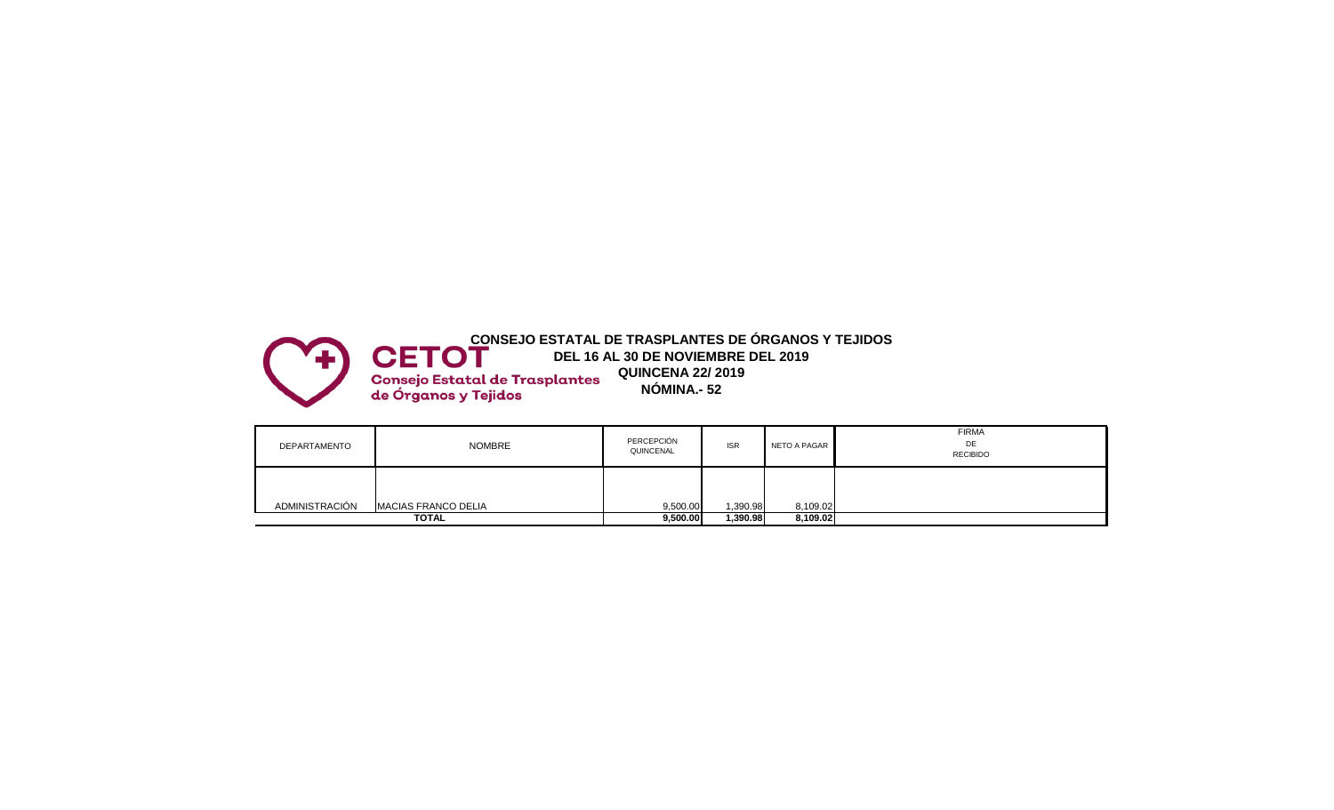

| DEPARTAMENTO   | <b>NOMBRE</b>              | PERCEPCIÓN<br>QUINCENAL | <b>ISR</b> | NETO A PAGAR | <b>FIRMA</b><br>DE<br><b>RECIBIDO</b> |
|----------------|----------------------------|-------------------------|------------|--------------|---------------------------------------|
| ADMINISTRACIÓN | <b>MACIAS FRANCO DELIA</b> | 9,500.00                | 1,390.98   | 8,109.02     |                                       |
|                | <b>TOTAL</b>               | 9,500.00                | 1,390.98   | 8,109.02     |                                       |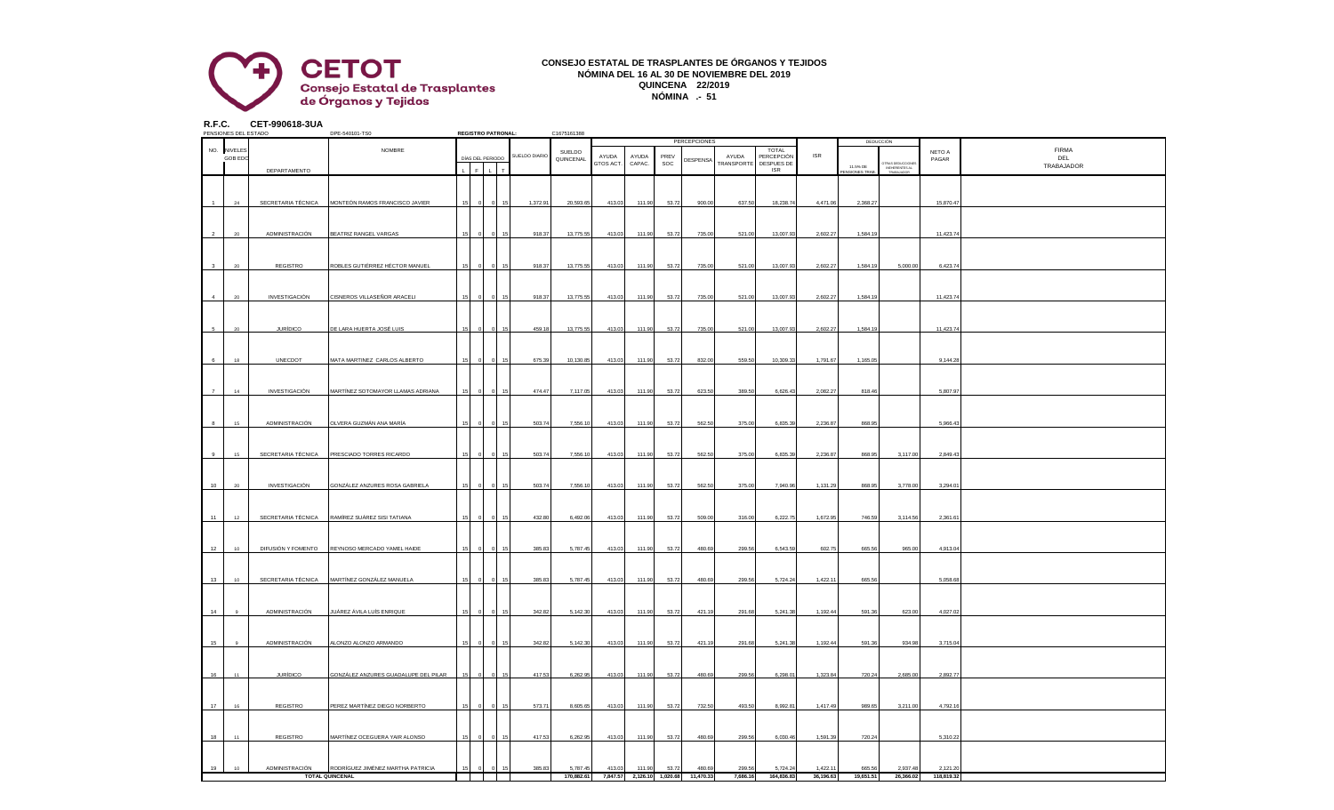

## **CONSEJO ESTATAL DE TRASPLANTES DE ÓRGANOS Y TEJIDOS NÓMINA DEL 16 AL 30 DE NOVIEMBRE DEL 2019 QUINCENA 22/2019 NÓMINA .- 51**

| R.F.C. | PENSIONES DEL ESTADO   | CET-990618-3UA     | DPE-540101-TS0                       |    | <b>REGISTRO PATRONAL:</b> |               | C1675161388         |                    |                 |             |                                      |                                   |                                                        |            |                           |                                                |                 |                                   |
|--------|------------------------|--------------------|--------------------------------------|----|---------------------------|---------------|---------------------|--------------------|-----------------|-------------|--------------------------------------|-----------------------------------|--------------------------------------------------------|------------|---------------------------|------------------------------------------------|-----------------|-----------------------------------|
|        |                        |                    |                                      |    |                           |               |                     |                    |                 |             | PERCEPCIONES                         |                                   |                                                        |            |                           | DEDUCCIÓN                                      |                 |                                   |
|        | NO. NIVELES<br>GOB EDC | DEPARTAMENTO       | NOMBRE                               |    | DÍAS DEL PERIODO          | SUELDO DIARIO | SUELDO<br>QUINCENAL | AYUDA<br>GTOS ACT. | AYUDA<br>CAPAC. | PRFV<br>SOC | <b>DESPENSA</b>                      | AYUDA<br><b><i>FRANSPORTE</i></b> | TOTAL<br>PERCEPCIÓN<br><b>DESPUES DE</b><br><b>ISR</b> | <b>ISR</b> | 11.5% DE<br>ENSIONES TRAE | TRAS DEDUCCION<br>INEHERENTES AL<br>TRABAJADOR | NETO A<br>PAGAR | <b>FIRMA</b><br>DEL<br>TRABAJADOR |
|        | 24                     | SECRETARIA TÉCNICA | MONTEÓN RAMOS FRANCISCO JAVIER       |    |                           | 1,372.91      | 20,593.65           | 413.03             | 111.90          | 53.72       | 900.00                               | 637.50                            | 18,238.74                                              | 4,471.06   | 2,368.2                   |                                                | 15,870.47       |                                   |
|        | 20                     | ADMINISTRACIÓN     | BEATRIZ RANGEL VARGAS                |    |                           | 918.37        | 13,775.55           | 413.03             | 111.90          | 53.72       | 735.00                               | 521.00                            | 13,007.93                                              | 2,602.27   | 1,584.1                   |                                                | 11,423.74       |                                   |
|        |                        | REGISTRO           | ROBLES GUTIÉRREZ HÉCTOR MANUEL       |    |                           | 918.37        | 13,775.55           | 413.03             | 111.90          | 53.72       | 735.00                               | 521.00                            | 13,007.93                                              | 2,602.27   | 1,584.19                  | 5,000.00                                       | 6,423.74        |                                   |
|        | 20                     | INVESTIGACIÓN      | CISNEROS VILLASEÑOR ARACELI          | 15 |                           | 918.37        | 13,775.55           | 413.03             | 111.90          | 53.72       | 735.00                               | 521.00                            | 13,007.93                                              | 2,602.27   | 1,584.19                  |                                                | 11,423.74       |                                   |
|        | 20                     | <b>JURÍDICO</b>    | <b>DE LARA HUERTA JOSÉ LUIS</b>      |    |                           | 459.18        | 13,775.55           | 413.03             | 111.90          | 53.72       | 735.00                               | 521.00                            | 13,007.93                                              | 2,602.27   | 1,584.19                  |                                                | 11,423.74       |                                   |
|        | 18                     | UNECDOT            | MATA MARTINEZ CARLOS ALBERTO         |    |                           | 675.39        | 10,130.85           | 413.03             | 111.90          | 53.72       | 832.00                               | 559.50                            | 10,309.33                                              | 1,791.67   | 1,165.0                   |                                                | 9,144.28        |                                   |
|        | 14                     | INVESTIGACIÓN      | MARTÍNEZ SOTOMAYOR LLAMAS ADRIANA    |    |                           | 474.47        | 7,117.05            | 413.03             | 111.90          | 53.72       | 623.50                               | 389.50                            | 6,626.43                                               | 2,082.27   | 818.46                    |                                                | 5,807.97        |                                   |
|        | 15                     | ADMINISTRACIÓN     | OLVERA GUZMÁN ANA MARÍA              |    |                           | 503.74        | 7,556.10            | 413.03             | 111.90          | 53.72       | 562.50                               | 375.00                            | 6.835.39                                               | 2.236.87   | 868.95                    |                                                | 5.966.4         |                                   |
|        | 15                     | SECRETARIA TÉCNICA | PRESCIADO TORRES RICARDO             |    |                           | 503.74        | 7,556.10            | 413.03             | 111.90          | 53.72       | 562.50                               | 375.00                            | 6,835.39                                               | 2,236.87   | 868.95                    | 3,117.00                                       | 2,849.43        |                                   |
| 10     | $20\,$                 | INVESTIGACIÓN      | GONZÁLEZ ANZURES ROSA GABRIELA       |    |                           | 503.74        | 7,556.10            | 413.03             | 111.90          | 53.72       | 562.50                               | 375.00                            | 7,940.96                                               | 1,131.29   | 868.95                    | 3,778.00                                       | 3,294.0         |                                   |
| 11     | 12                     | SECRETARIA TÉCNICA | RAMÍREZ SUÁREZ SISI TATIANA          |    |                           | 432.80        | 6,492.06            | 413.03             | 111.90          | 53.72       | 509.00                               | 316.00                            | 6,222.75                                               | 1,672.95   | 746.59                    | 3,114.56                                       | 2,361.61        |                                   |
| 12     | 10                     | DIFUSIÓN Y FOMENTO | REYNOSO MERCADO YAMEL HAIDE          |    |                           | 385.83        | 5,787.45            | 413.03             | 111.90          | 53.72       | 480.69                               | 299.56                            | 6,543.59                                               | 602.75     | 665.56                    | 965.00                                         | 4,913.04        |                                   |
| 13     | 10                     | SECRETARIA TÉCNICA | MARTÍNEZ GONZÁLEZ MANUELA            |    |                           | 385.83        | 5,787.45            | 413.03             | 111.90          | 53.72       | 480.69                               | 299.56                            | 5,724.24                                               | 1,422.11   | 665.56                    |                                                | 5,058.68        |                                   |
| 14     |                        | ADMINISTRACIÓN     | JUÁREZ ÁVILA LUÍS ENRIQUE            |    |                           | 342.82        | 5,142.30            | 413.03             | 111.90          | 53.72       | 421.19                               | 291.68                            | 5,241.38                                               | 1,192.44   | 591.36                    | 623.00                                         | 4,027.02        |                                   |
| 15     |                        | ADMINISTRACIÓN     | ALONZO ALONZO ARMANDO                |    |                           | 342.82        | 5,142.30            | 413.03             | 111.90          | 53.72       | 421.19                               | 291.68                            | 5,241.38                                               | 1,192.44   | 591.36                    | 934.98                                         | 3,715.04        |                                   |
| 16     | 11                     | <b>JURÍDICO</b>    | GONZÁLEZ ANZURES GUADALUPE DEL PILAR |    |                           | 417.53        | 6,262.95            | 413.03             | 111.90          | 53.72       | 480.69                               | 299.56                            | 6,298.01                                               | 1,323.84   | 720.24                    | 2,685.00                                       | 2,892.77        |                                   |
| 17     | 16                     | REGISTRO           | PEREZ MARTÍNEZ DIEGO NORBERTO        |    |                           | 573.7         | 8,605.65            | 413.03             | 111.90          | 53.72       | 732.50                               | 493.50                            | 8,992.8                                                | 1,417.49   | 989.6                     | 3,211.00                                       | 4,792.1         |                                   |
| 18     | 11                     | REGISTRO           | MARTÍNEZ OCEGUERA YAIR ALONSO        |    |                           | 417.53        | 6,262.95            | 413.03             | 111.90          | 53.72       | 480.69                               | 299.56                            | 6,030.46                                               | 1,591.39   | 720.24                    |                                                | 5,310.22        |                                   |
| 19     | 10                     | ADMINISTRACIÓN     | RODRÍGUEZ JIMÉNEZ MARTHA PATRICIA    |    |                           | 385.83        | 5,787.45            | 413.03             | 111.90          | 53.72       | 480.69                               | 299.56                            | 5,724.24                                               | 1,422.11   | 665.56                    | 2,937.48                                       | 2,121.20        |                                   |
|        |                        |                    | <b>TOTAL QUINCENAL</b>               |    |                           |               | 170,882.61          |                    |                 |             | 7,847.57 2,126.10 1,020.68 11,470.33 | 7,686.16                          | 164,836.83                                             | 36,196.63  | 19,651.51                 | 26,366.02                                      | 118,819.32      |                                   |